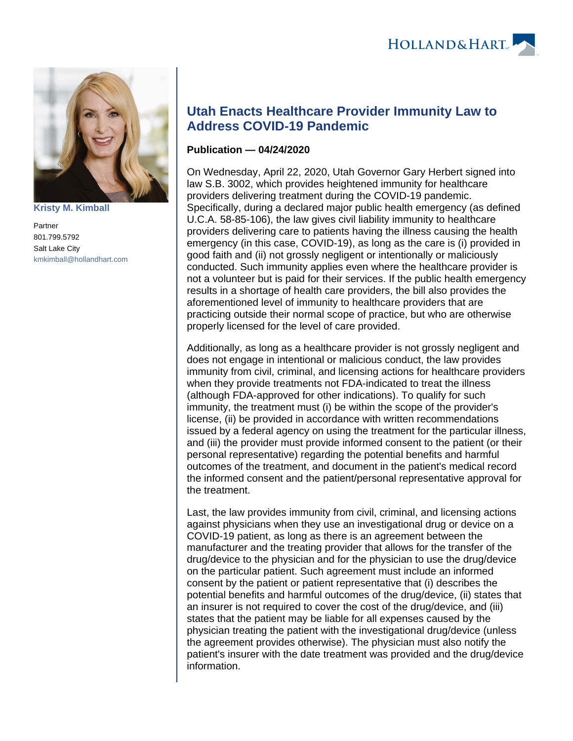

**[Kristy M. Kimball](https://www.hollandhart.com/35820)**

Partner 801.799.5792 Salt Lake City [kmkimball@hollandhart.com](mailto:kmkimball@hollandhart.com)

## **Utah Enacts Healthcare Provider Immunity Law to Address COVID-19 Pandemic**

## **Publication — 04/24/2020**

On Wednesday, April 22, 2020, Utah Governor Gary Herbert signed into law S.B. 3002, which provides heightened immunity for healthcare providers delivering treatment during the COVID-19 pandemic. Specifically, during a declared major public health emergency (as defined U.C.A. 58-85-106), the law gives civil liability immunity to healthcare providers delivering care to patients having the illness causing the health emergency (in this case, COVID-19), as long as the care is (i) provided in good faith and (ii) not grossly negligent or intentionally or maliciously conducted. Such immunity applies even where the healthcare provider is not a volunteer but is paid for their services. If the public health emergency results in a shortage of health care providers, the bill also provides the aforementioned level of immunity to healthcare providers that are practicing outside their normal scope of practice, but who are otherwise properly licensed for the level of care provided.

Additionally, as long as a healthcare provider is not grossly negligent and does not engage in intentional or malicious conduct, the law provides immunity from civil, criminal, and licensing actions for healthcare providers when they provide treatments not FDA-indicated to treat the illness (although FDA-approved for other indications). To qualify for such immunity, the treatment must (i) be within the scope of the provider's license, (ii) be provided in accordance with written recommendations issued by a federal agency on using the treatment for the particular illness, and (iii) the provider must provide informed consent to the patient (or their personal representative) regarding the potential benefits and harmful outcomes of the treatment, and document in the patient's medical record the informed consent and the patient/personal representative approval for the treatment.

Last, the law provides immunity from civil, criminal, and licensing actions against physicians when they use an investigational drug or device on a COVID-19 patient, as long as there is an agreement between the manufacturer and the treating provider that allows for the transfer of the drug/device to the physician and for the physician to use the drug/device on the particular patient. Such agreement must include an informed consent by the patient or patient representative that (i) describes the potential benefits and harmful outcomes of the drug/device, (ii) states that an insurer is not required to cover the cost of the drug/device, and (iii) states that the patient may be liable for all expenses caused by the physician treating the patient with the investigational drug/device (unless the agreement provides otherwise). The physician must also notify the patient's insurer with the date treatment was provided and the drug/device information.